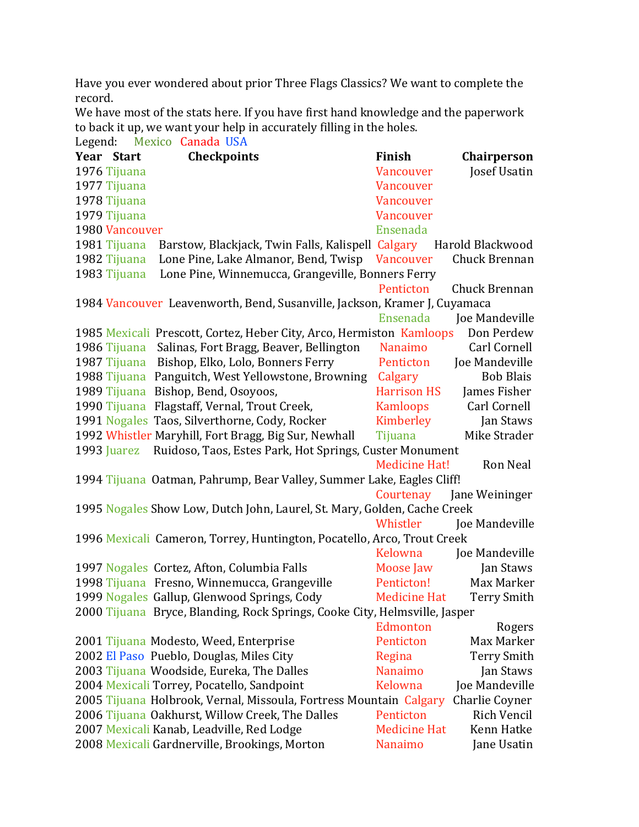Have you ever wondered about prior Three Flags Classics? We want to complete the record. 

We have most of the stats here. If you have first hand knowledge and the paperwork to back it up, we want your help in accurately filling in the holes.

| Legend: Mexico Canada USA                                                            |                      |                     |
|--------------------------------------------------------------------------------------|----------------------|---------------------|
| Year Start<br><b>Checkpoints</b>                                                     | Finish               | Chairperson         |
| 1976 Tijuana                                                                         | Vancouver            | Josef Usatin        |
| 1977 Tijuana                                                                         | Vancouver            |                     |
| 1978 Tijuana                                                                         | Vancouver            |                     |
| 1979 Tijuana                                                                         | Vancouver            |                     |
| 1980 Vancouver                                                                       | Ensenada             |                     |
| Barstow, Blackjack, Twin Falls, Kalispell Calgary<br>1981 Tijuana                    |                      | Harold Blackwood    |
| 1982 Tijuana<br>Lone Pine, Lake Almanor, Bend, Twisp                                 | Vancouver            | Chuck Brennan       |
| 1983 Tijuana<br>Lone Pine, Winnemucca, Grangeville, Bonners Ferry                    |                      |                     |
|                                                                                      | Penticton            | Chuck Brennan       |
| 1984 Vancouver Leavenworth, Bend, Susanville, Jackson, Kramer J, Cuyamaca            |                      |                     |
|                                                                                      | Ensenada             | Joe Mandeville      |
| 1985 Mexicali Prescott, Cortez, Heber City, Arco, Hermiston Kamloops                 |                      | Don Perdew          |
| 1986 Tijuana Salinas, Fort Bragg, Beaver, Bellington                                 | Nanaimo              | Carl Cornell        |
| Bishop, Elko, Lolo, Bonners Ferry<br>1987 Tijuana                                    | Penticton            | Joe Mandeville      |
| 1988 Tijuana Panguitch, West Yellowstone, Browning                                   | Calgary              | <b>Bob Blais</b>    |
| 1989 Tijuana Bishop, Bend, Osoyoos,                                                  | <b>Harrison HS</b>   | James Fisher        |
| 1990 Tijuana Flagstaff, Vernal, Trout Creek,                                         | Kamloops             | <b>Carl Cornell</b> |
| 1991 Nogales Taos, Silverthorne, Cody, Rocker                                        | Kimberley            | Jan Staws           |
| 1992 Whistler Maryhill, Fort Bragg, Big Sur, Newhall                                 | Tijuana              | Mike Strader        |
| Ruidoso, Taos, Estes Park, Hot Springs, Custer Monument<br>1993 Juarez               |                      |                     |
|                                                                                      | <b>Medicine Hat!</b> | <b>Ron Neal</b>     |
| 1994 Tijuana Oatman, Pahrump, Bear Valley, Summer Lake, Eagles Cliff!                |                      |                     |
|                                                                                      | Courtenay            | Jane Weininger      |
| 1995 Nogales Show Low, Dutch John, Laurel, St. Mary, Golden, Cache Creek             |                      |                     |
|                                                                                      | Whistler             | Joe Mandeville      |
| 1996 Mexicali Cameron, Torrey, Huntington, Pocatello, Arco, Trout Creek              |                      |                     |
|                                                                                      | Kelowna              | Joe Mandeville      |
| 1997 Nogales Cortez, Afton, Columbia Falls                                           | Moose Jaw            | Jan Staws           |
| 1998 Tijuana Fresno, Winnemucca, Grangeville                                         | Penticton!           | Max Marker          |
| 1999 Nogales Gallup, Glenwood Springs, Cody                                          | <b>Medicine Hat</b>  | <b>Terry Smith</b>  |
| 2000 Tijuana Bryce, Blanding, Rock Springs, Cooke City, Helmsville, Jasper           |                      |                     |
|                                                                                      | Edmonton             | Rogers              |
| 2001 Tijuana Modesto, Weed, Enterprise                                               | Penticton            | Max Marker          |
| 2002 El Paso Pueblo, Douglas, Miles City                                             | Regina               | <b>Terry Smith</b>  |
| 2003 Tijuana Woodside, Eureka, The Dalles                                            | <b>Nanaimo</b>       | Jan Staws           |
| 2004 Mexicali Torrey, Pocatello, Sandpoint                                           | Kelowna              | Joe Mandeville      |
| 2005 Tijuana Holbrook, Vernal, Missoula, Fortress Mountain Calgary<br>Charlie Coyner |                      |                     |
| 2006 Tijuana Oakhurst, Willow Creek, The Dalles                                      | Penticton            | <b>Rich Vencil</b>  |
| 2007 Mexicali Kanab, Leadville, Red Lodge                                            | <b>Medicine Hat</b>  | Kenn Hatke          |
| 2008 Mexicali Gardnerville, Brookings, Morton                                        | Nanaimo              | Jane Usatin         |